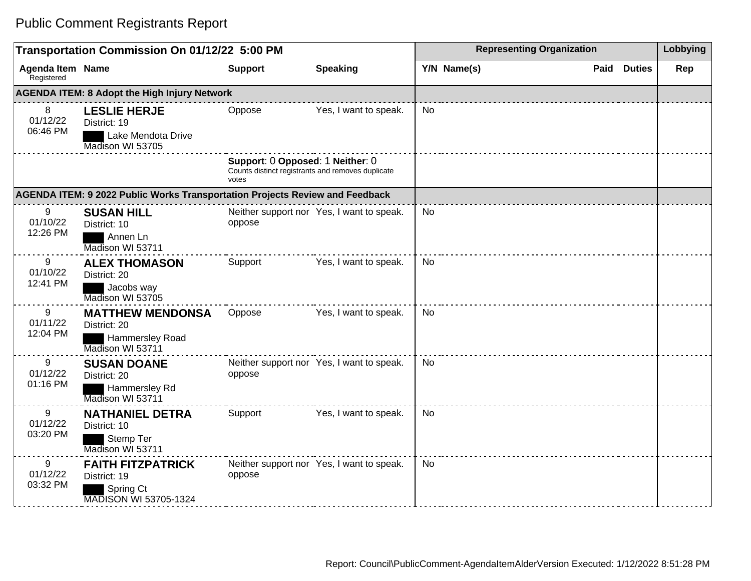## Public Comment Registrants Report

| Transportation Commission On 01/12/22 5:00 PM       |                                                                                       |                                                                                                |                                           |           | <b>Representing Organization</b> |  |                    |     |
|-----------------------------------------------------|---------------------------------------------------------------------------------------|------------------------------------------------------------------------------------------------|-------------------------------------------|-----------|----------------------------------|--|--------------------|-----|
| <b>Agenda Item Name</b><br>Registered               |                                                                                       | <b>Support</b>                                                                                 | <b>Speaking</b>                           |           | Y/N Name(s)                      |  | <b>Paid Duties</b> | Rep |
| <b>AGENDA ITEM: 8 Adopt the High Injury Network</b> |                                                                                       |                                                                                                |                                           |           |                                  |  |                    |     |
| 8<br>01/12/22<br>06:46 PM                           | <b>LESLIE HERJE</b><br>District: 19<br>Lake Mendota Drive<br>Madison WI 53705         | Oppose                                                                                         | Yes, I want to speak.                     | No        |                                  |  |                    |     |
|                                                     |                                                                                       | Support: 0 Opposed: 1 Neither: 0<br>Counts distinct registrants and removes duplicate<br>votes |                                           |           |                                  |  |                    |     |
|                                                     | AGENDA ITEM: 9 2022 Public Works Transportation Projects Review and Feedback          |                                                                                                |                                           |           |                                  |  |                    |     |
| 9<br>01/10/22<br>12:26 PM                           | <b>SUSAN HILL</b><br>District: 10<br>Annen Ln<br>Madison WI 53711                     | oppose                                                                                         | Neither support nor Yes, I want to speak. | No        |                                  |  |                    |     |
| 9<br>01/10/22<br>12:41 PM                           | <b>ALEX THOMASON</b><br>District: 20<br>Jacobs way<br>Madison WI 53705                | Support                                                                                        | Yes, I want to speak.                     | <b>No</b> |                                  |  |                    |     |
| 9<br>01/11/22<br>12:04 PM                           | <b>MATTHEW MENDONSA</b><br>District: 20<br><b>Hammersley Road</b><br>Madison WI 53711 | Oppose                                                                                         | Yes, I want to speak.                     | <b>No</b> |                                  |  |                    |     |
| 9<br>01/12/22<br>01:16 PM                           | <b>SUSAN DOANE</b><br>District: 20<br>Hammersley Rd<br>Madison WI 53711               | oppose                                                                                         | Neither support nor Yes, I want to speak. | <b>No</b> |                                  |  |                    |     |
| 9<br>01/12/22<br>03:20 PM                           | <b>NATHANIEL DETRA</b><br>District: 10<br>Stemp Ter<br>Madison WI 53711               | Support                                                                                        | Yes, I want to speak.                     | <b>No</b> |                                  |  |                    |     |
| 9<br>01/12/22<br>03:32 PM                           | <b>FAITH FITZPATRICK</b><br>District: 19<br>Spring Ct<br><b>MADISON WI 53705-1324</b> | oppose                                                                                         | Neither support nor Yes, I want to speak. | No        |                                  |  |                    |     |